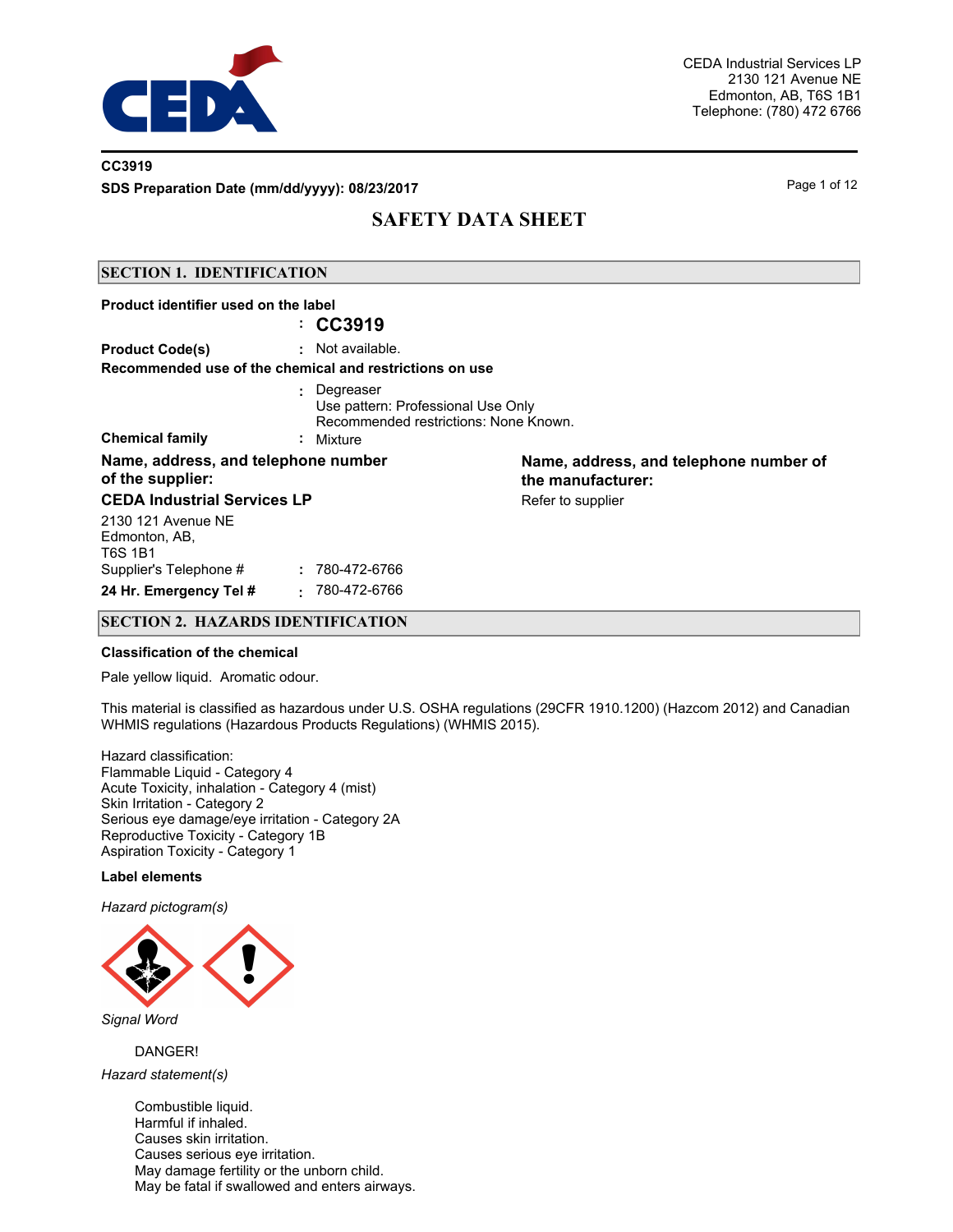

## **CC3919**

**SDS Preparation Date (mm/dd/yyyy): 08/23/2017** Page 1 of 12

# **SAFETY DATA SHEET**

## **SECTION 1. IDENTIFICATION**

| Product identifier used on the label                    | : CC3919                                                                                                |                                                             |
|---------------------------------------------------------|---------------------------------------------------------------------------------------------------------|-------------------------------------------------------------|
| <b>Product Code(s)</b>                                  | $:$ Not available.<br>Recommended use of the chemical and restrictions on use                           |                                                             |
| <b>Chemical family</b>                                  | : Degreaser<br>Use pattern: Professional Use Only<br>Recommended restrictions: None Known.<br>: Mixture |                                                             |
| Name, address, and telephone number<br>of the supplier: |                                                                                                         | Name, address, and telephone number of<br>the manufacturer: |
| <b>CEDA Industrial Services LP</b>                      |                                                                                                         | Refer to supplier                                           |
| 2130 121 Avenue NE<br>Edmonton, AB,<br>T6S 1B1          |                                                                                                         |                                                             |
| Supplier's Telephone #                                  | 780-472-6766                                                                                            |                                                             |
| 24 Hr. Emergency Tel #                                  | 780-472-6766<br>х.                                                                                      |                                                             |

## **SECTION 2. HAZARDS IDENTIFICATION**

#### **Classification of the chemical**

Pale yellow liquid. Aromatic odour.

This material is classified as hazardous under U.S. OSHA regulations (29CFR 1910.1200) (Hazcom 2012) and Canadian WHMIS regulations (Hazardous Products Regulations) (WHMIS 2015).

Hazard classification: Flammable Liquid - Category 4 Acute Toxicity, inhalation - Category 4 (mist) Skin Irritation - Category 2 Serious eye damage/eye irritation - Category 2A Reproductive Toxicity - Category 1B Aspiration Toxicity - Category 1

#### **Label elements**

*Hazard pictogram(s)*



*Signal Word*

DANGER!

*Hazard statement(s)*

Combustible liquid. Harmful if inhaled. Causes skin irritation. Causes serious eye irritation. May damage fertility or the unborn child. May be fatal if swallowed and enters airways.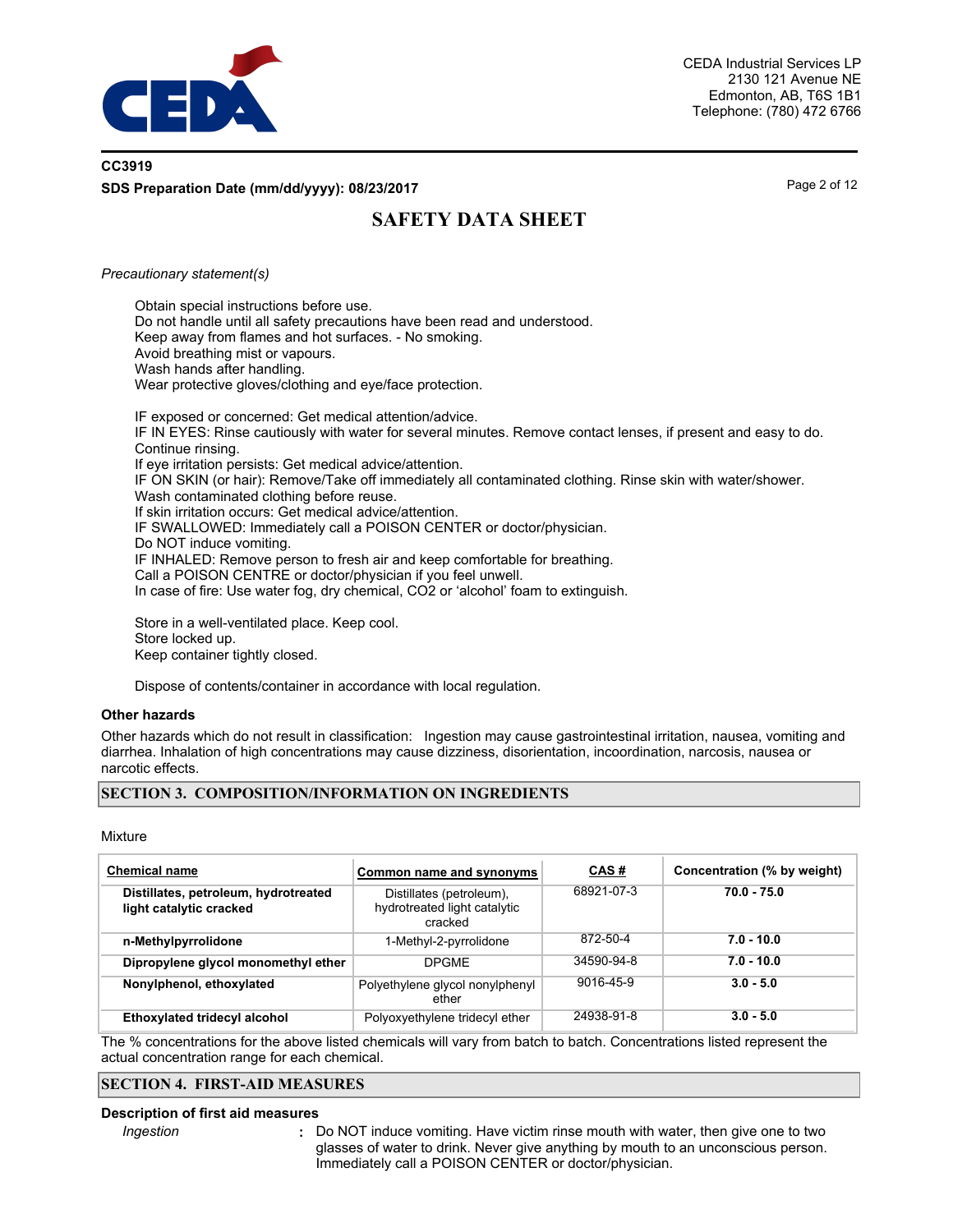

# **CC3919 SDS Preparation Date (mm/dd/yyyy): 08/23/2017** Page 2 of 12

# **SAFETY DATA SHEET**

#### *Precautionary statement(s)*

Obtain special instructions before use. Do not handle until all safety precautions have been read and understood. Keep away from flames and hot surfaces. - No smoking. Avoid breathing mist or vapours. Wash hands after handling. Wear protective gloves/clothing and eye/face protection.

IF exposed or concerned: Get medical attention/advice. IF IN EYES: Rinse cautiously with water for several minutes. Remove contact lenses, if present and easy to do. Continue rinsing. If eye irritation persists: Get medical advice/attention. IF ON SKIN (or hair): Remove/Take off immediately all contaminated clothing. Rinse skin with water/shower. Wash contaminated clothing before reuse. If skin irritation occurs: Get medical advice/attention. IF SWALLOWED: Immediately call a POISON CENTER or doctor/physician. Do NOT induce vomiting. IF INHALED: Remove person to fresh air and keep comfortable for breathing. Call a POISON CENTRE or doctor/physician if you feel unwell. In case of fire: Use water fog, dry chemical, CO2 or 'alcohol' foam to extinguish.

Store in a well-ventilated place. Keep cool. Store locked up. Keep container tightly closed.

Dispose of contents/container in accordance with local regulation.

#### **Other hazards**

Other hazards which do not result in classification: Ingestion may cause gastrointestinal irritation, nausea, vomiting and diarrhea. Inhalation of high concentrations may cause dizziness, disorientation, incoordination, narcosis, nausea or narcotic effects.

## **SECTION 3. COMPOSITION/INFORMATION ON INGREDIENTS**

#### Mixture

| <b>Chemical name</b>                                            | Common name and synonyms                                            | CAS#       | Concentration (% by weight) |
|-----------------------------------------------------------------|---------------------------------------------------------------------|------------|-----------------------------|
| Distillates, petroleum, hydrotreated<br>light catalytic cracked | Distillates (petroleum),<br>hydrotreated light catalytic<br>cracked | 68921-07-3 | $70.0 - 75.0$               |
| n-Methylpyrrolidone                                             | 1-Methyl-2-pyrrolidone                                              | 872-50-4   | $7.0 - 10.0$                |
| Dipropylene glycol monomethyl ether                             | <b>DPGME</b>                                                        | 34590-94-8 | $7.0 - 10.0$                |
| Nonylphenol, ethoxylated                                        | Polyethylene glycol nonylphenyl<br>ether                            | 9016-45-9  | $3.0 - 5.0$                 |
| <b>Ethoxylated tridecyl alcohol</b>                             | Polyoxyethylene tridecyl ether                                      | 24938-91-8 | $3.0 - 5.0$                 |

The % concentrations for the above listed chemicals will vary from batch to batch. Concentrations listed represent the actual concentration range for each chemical.

## **SECTION 4. FIRST-AID MEASURES**

#### **Description of first aid measures**

*Ingestion* **:**

Do NOT induce vomiting. Have victim rinse mouth with water, then give one to two glasses of water to drink. Never give anything by mouth to an unconscious person. Immediately call a POISON CENTER or doctor/physician.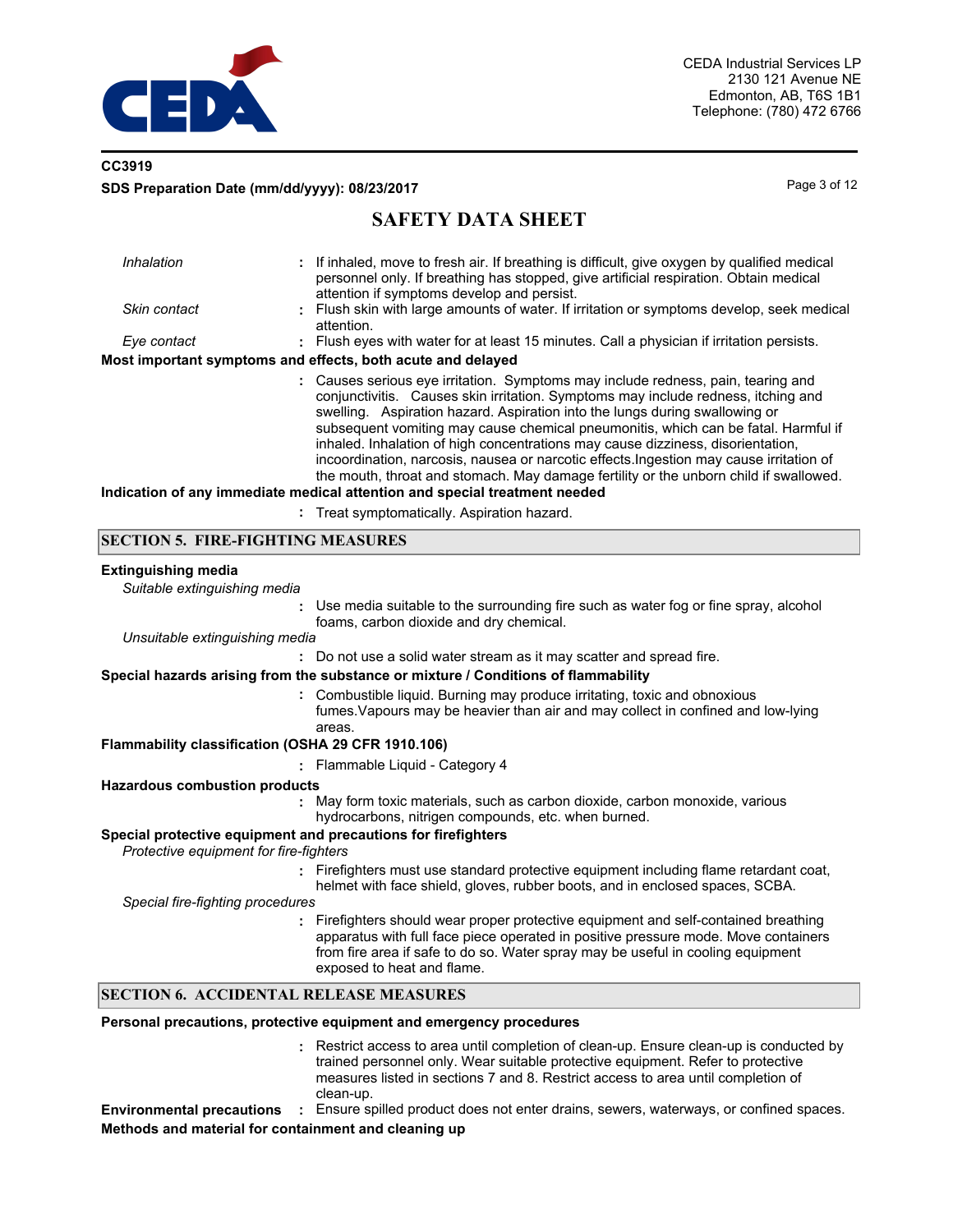

# **CC3919 SDS Preparation Date (mm/dd/yyyy): 08/23/2017** Page 3 of 12

# **SAFETY DATA SHEET**

| Inhalation   | : If inhaled, move to fresh air. If breathing is difficult, give oxygen by qualified medical                                                                                                                                                                                                                                                                                                                                                                                                                                                                                                                                                                                                    |
|--------------|-------------------------------------------------------------------------------------------------------------------------------------------------------------------------------------------------------------------------------------------------------------------------------------------------------------------------------------------------------------------------------------------------------------------------------------------------------------------------------------------------------------------------------------------------------------------------------------------------------------------------------------------------------------------------------------------------|
|              | personnel only. If breathing has stopped, give artificial respiration. Obtain medical<br>attention if symptoms develop and persist.                                                                                                                                                                                                                                                                                                                                                                                                                                                                                                                                                             |
| Skin contact | : Flush skin with large amounts of water. If irritation or symptoms develop, seek medical<br>attention.                                                                                                                                                                                                                                                                                                                                                                                                                                                                                                                                                                                         |
| Eye contact  | : Flush eyes with water for at least 15 minutes. Call a physician if irritation persists.                                                                                                                                                                                                                                                                                                                                                                                                                                                                                                                                                                                                       |
|              | Most important symptoms and effects, both acute and delayed                                                                                                                                                                                                                                                                                                                                                                                                                                                                                                                                                                                                                                     |
|              | : Causes serious eye irritation. Symptoms may include redness, pain, tearing and<br>conjunctivitis. Causes skin irritation. Symptoms may include redness, itching and<br>swelling. Aspiration hazard. Aspiration into the lungs during swallowing or<br>subsequent vomiting may cause chemical pneumonitis, which can be fatal. Harmful if<br>inhaled. Inhalation of high concentrations may cause dizziness, disorientation,<br>incoordination, narcosis, nausea or narcotic effects. Ingestion may cause irritation of<br>the mouth, throat and stomach. May damage fertility or the unborn child if swallowed.<br>Indication of any immediate medical attention and special treatment needed |
|              | . The attenuate the attachers A and hattens to a memori                                                                                                                                                                                                                                                                                                                                                                                                                                                                                                                                                                                                                                         |

**:** Treat symptomatically. Aspiration hazard.

## **SECTION 5. FIRE-FIGHTING MEASURES**

#### **Extinguishing media**

*Suitable extinguishing media*

|                                                                                                         | Personal precautions, protective equipment and emergency procedures                                                                                                                                                                                                                      |
|---------------------------------------------------------------------------------------------------------|------------------------------------------------------------------------------------------------------------------------------------------------------------------------------------------------------------------------------------------------------------------------------------------|
| <b>SECTION 6. ACCIDENTAL RELEASE MEASURES</b>                                                           |                                                                                                                                                                                                                                                                                          |
|                                                                                                         | Firefighters should wear proper protective equipment and self-contained breathing<br>apparatus with full face piece operated in positive pressure mode. Move containers<br>from fire area if safe to do so. Water spray may be useful in cooling equipment<br>exposed to heat and flame. |
| Special fire-fighting procedures                                                                        |                                                                                                                                                                                                                                                                                          |
|                                                                                                         | : Firefighters must use standard protective equipment including flame retardant coat,<br>helmet with face shield, gloves, rubber boots, and in enclosed spaces, SCBA.                                                                                                                    |
| Special protective equipment and precautions for firefighters<br>Protective equipment for fire-fighters |                                                                                                                                                                                                                                                                                          |
|                                                                                                         | : May form toxic materials, such as carbon dioxide, carbon monoxide, various<br>hydrocarbons, nitrigen compounds, etc. when burned.                                                                                                                                                      |
| <b>Hazardous combustion products</b>                                                                    |                                                                                                                                                                                                                                                                                          |
|                                                                                                         | : Flammable Liquid - Category 4                                                                                                                                                                                                                                                          |
| Flammability classification (OSHA 29 CFR 1910.106)                                                      | : Combustible liquid. Burning may produce irritating, toxic and obnoxious<br>fumes. Vapours may be heavier than air and may collect in confined and low-lying<br>areas.                                                                                                                  |
|                                                                                                         | Special hazards arising from the substance or mixture / Conditions of flammability                                                                                                                                                                                                       |
|                                                                                                         | : Do not use a solid water stream as it may scatter and spread fire.                                                                                                                                                                                                                     |
| Unsuitable extinguishing media                                                                          |                                                                                                                                                                                                                                                                                          |
| ÷                                                                                                       | Use media suitable to the surrounding fire such as water fog or fine spray, alcohol<br>foams, carbon dioxide and dry chemical.                                                                                                                                                           |
|                                                                                                         |                                                                                                                                                                                                                                                                                          |

Restrict access to area until completion of clean-up. Ensure clean-up is conducted by **:** trained personnel only. Wear suitable protective equipment. Refer to protective measures listed in sections 7 and 8. Restrict access to area until completion of clean-up.

**Environmental precautions :** Ensure spilled product does not enter drains, sewers, waterways, or confined spaces. **Methods and material for containment and cleaning up**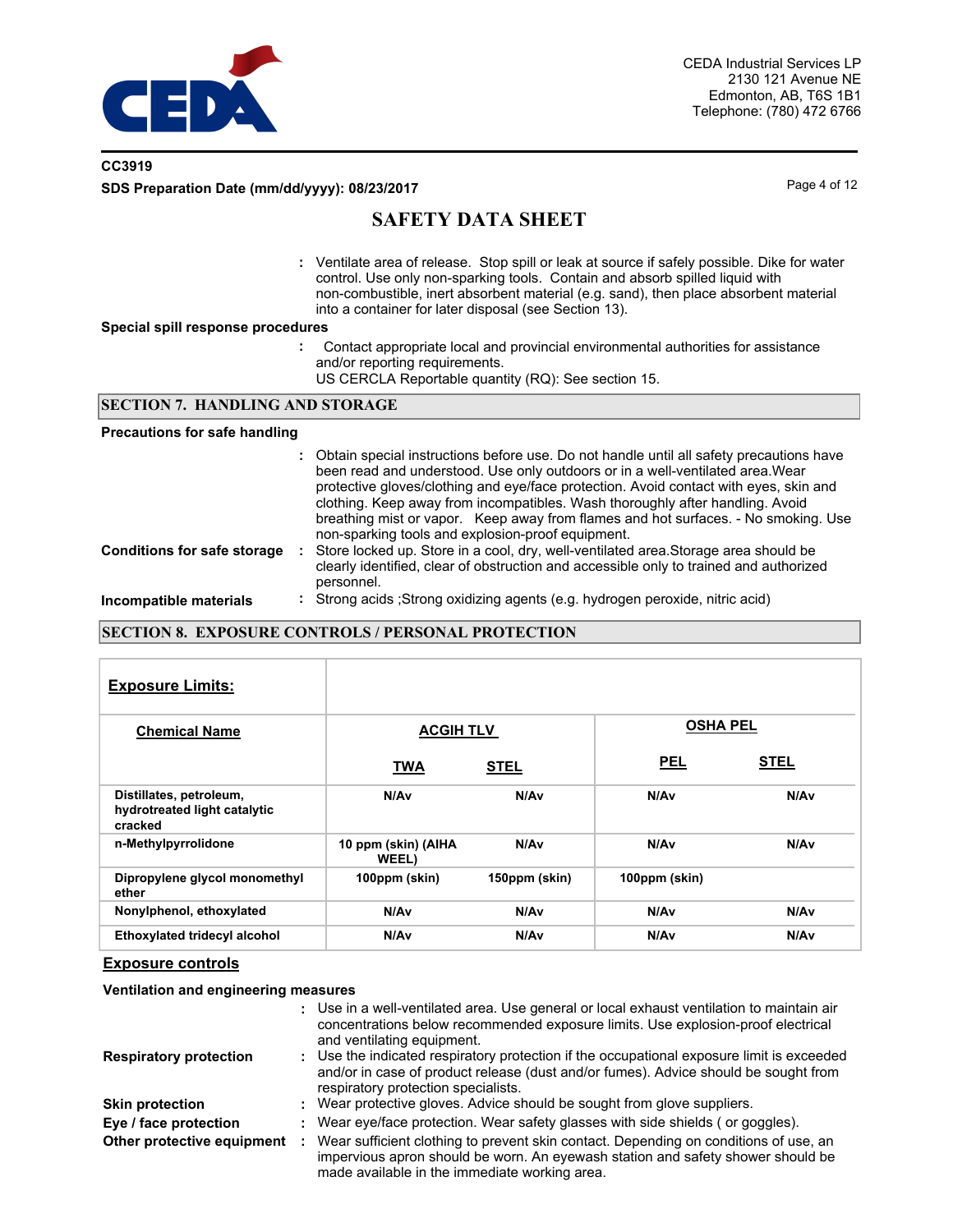

# **CC3919 SDS Preparation Date (mm/dd/yyyy): 08/23/2017** Page 4 of 12

# **SAFETY DATA SHEET**

Ventilate area of release. Stop spill or leak at source if safely possible. Dike for water **:** control. Use only non-sparking tools. Contain and absorb spilled liquid with non-combustible, inert absorbent material (e.g. sand), then place absorbent material into a container for later disposal (see Section 13).

#### **Special spill response procedures**

- **:** Contact appropriate local and provincial environmental authorities for assistance and/or reporting requirements.
	- US CERCLA Reportable quantity (RQ): See section 15.

#### **SECTION 7. HANDLING AND STORAGE**

#### **Precautions for safe handling**

|                                    | : Obtain special instructions before use. Do not handle until all safety precautions have<br>been read and understood. Use only outdoors or in a well-ventilated area. Wear<br>protective gloves/clothing and eye/face protection. Avoid contact with eyes, skin and<br>clothing. Keep away from incompatibles. Wash thoroughly after handling. Avoid<br>breathing mist or vapor. Keep away from flames and hot surfaces. - No smoking. Use<br>non-sparking tools and explosion-proof equipment. |
|------------------------------------|--------------------------------------------------------------------------------------------------------------------------------------------------------------------------------------------------------------------------------------------------------------------------------------------------------------------------------------------------------------------------------------------------------------------------------------------------------------------------------------------------|
| <b>Conditions for safe storage</b> | Store locked up. Store in a cool, dry, well-ventilated area. Storage area should be<br>clearly identified, clear of obstruction and accessible only to trained and authorized<br>personnel.                                                                                                                                                                                                                                                                                                      |
| Incompatible materials             | : Strong acids ; Strong oxidizing agents (e.g. hydrogen peroxide, nitric acid)                                                                                                                                                                                                                                                                                                                                                                                                                   |

## **SECTION 8. EXPOSURE CONTROLS / PERSONAL PROTECTION**

| <b>Exposure Limits:</b>                                            |                              |               |                 |             |
|--------------------------------------------------------------------|------------------------------|---------------|-----------------|-------------|
| <b>Chemical Name</b>                                               | <b>ACGIH TLV</b>             |               | <b>OSHA PEL</b> |             |
|                                                                    | <b>TWA</b>                   | <b>STEL</b>   | <b>PEL</b>      | <b>STEL</b> |
| Distillates, petroleum,<br>hydrotreated light catalytic<br>cracked | N/Av                         | N/Av          | N/Av            | N/Av        |
| n-Methylpyrrolidone                                                | 10 ppm (skin) (AIHA<br>WEEL) | N/Av          | N/Av            | N/Av        |
| Dipropylene glycol monomethyl<br>ether                             | 100ppm (skin)                | 150ppm (skin) | 100ppm (skin)   |             |
| Nonylphenol, ethoxylated                                           | N/Av                         | N/Av          | N/Av            | N/Av        |
| <b>Ethoxylated tridecyl alcohol</b>                                | N/Av                         | N/Av          | N/Av            | N/Av        |

## **Exposure controls**

**Ventilation and engineering measures**

|                               |    | : Use in a well-ventilated area. Use general or local exhaust ventilation to maintain air<br>concentrations below recommended exposure limits. Use explosion-proof electrical<br>and ventilating equipment.              |
|-------------------------------|----|--------------------------------------------------------------------------------------------------------------------------------------------------------------------------------------------------------------------------|
| <b>Respiratory protection</b> |    | : Use the indicated respiratory protection if the occupational exposure limit is exceeded<br>and/or in case of product release (dust and/or fumes). Advice should be sought from<br>respiratory protection specialists.  |
| <b>Skin protection</b>        | ÷. | Wear protective gloves. Advice should be sought from glove suppliers.                                                                                                                                                    |
| Eye / face protection         |    | Wear eye/face protection. Wear safety glasses with side shields (or goggles).                                                                                                                                            |
| Other protective equipment    | ÷  | Wear sufficient clothing to prevent skin contact. Depending on conditions of use, an<br>impervious apron should be worn. An eyewash station and safety shower should be<br>made available in the immediate working area. |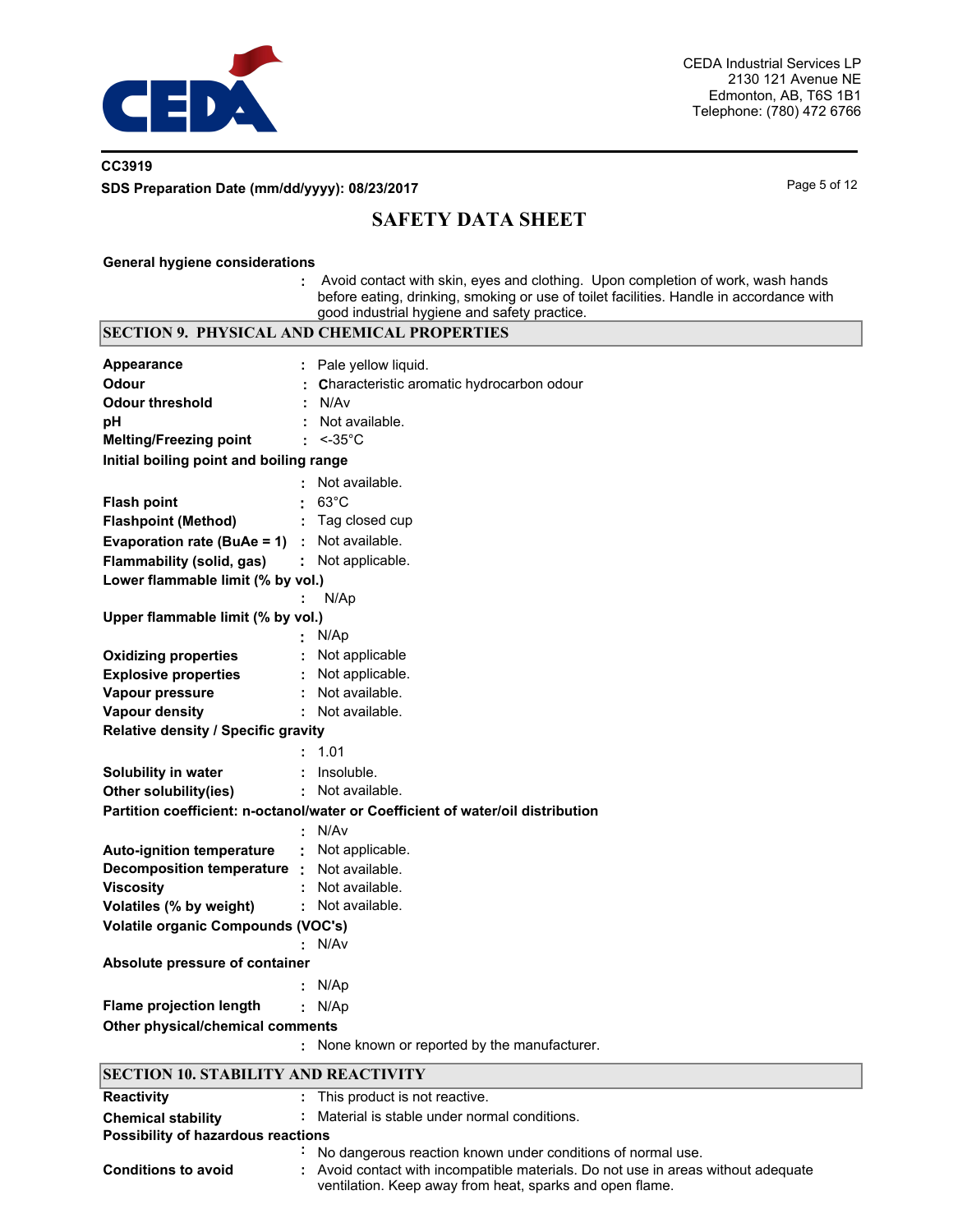

# **CC3919 SDS Preparation Date (mm/dd/yyyy): 08/23/2017** Page 5 of 12

# **SAFETY DATA SHEET**

#### **General hygiene considerations**

**Conditions to avoid** 

**:** Avoid contact with skin, eyes and clothing. Upon completion of work, wash hands before eating, drinking, smoking or use of toilet facilities. Handle in accordance with good industrial hygiene and safety practice.

|                                             | <b>SECTION 9. PHYSICAL AND CHEMICAL PROPERTIES</b>                              |
|---------------------------------------------|---------------------------------------------------------------------------------|
| <b>Appearance</b>                           | Pale yellow liquid.                                                             |
| Odour                                       | Characteristic aromatic hydrocarbon odour                                       |
| <b>Odour threshold</b>                      | N/Av                                                                            |
| pH                                          | Not available.                                                                  |
| <b>Melting/Freezing point</b>               | $<-35^{\circ}C$                                                                 |
| Initial boiling point and boiling range     |                                                                                 |
|                                             | Not available.                                                                  |
| <b>Flash point</b>                          | $63^{\circ}$ C                                                                  |
| <b>Flashpoint (Method)</b>                  | Tag closed cup                                                                  |
| Evaporation rate (BuAe = 1)                 | Not available.                                                                  |
| Flammability (solid, gas)                   | Not applicable.                                                                 |
| Lower flammable limit (% by vol.)           |                                                                                 |
|                                             | N/Ap                                                                            |
| Upper flammable limit (% by vol.)           |                                                                                 |
|                                             | N/Ap                                                                            |
| <b>Oxidizing properties</b>                 | Not applicable                                                                  |
| <b>Explosive properties</b>                 | Not applicable.                                                                 |
| Vapour pressure                             | Not available.                                                                  |
| <b>Vapour density</b>                       | Not available.                                                                  |
| Relative density / Specific gravity         |                                                                                 |
|                                             | 1.01                                                                            |
| Solubility in water                         | Insoluble.                                                                      |
| Other solubility(ies)                       | Not available.                                                                  |
|                                             | Partition coefficient: n-octanol/water or Coefficient of water/oil distribution |
|                                             | N/Av                                                                            |
| <b>Auto-ignition temperature</b>            | Not applicable.                                                                 |
| Decomposition temperature :                 | Not available.                                                                  |
| <b>Viscosity</b>                            | Not available.                                                                  |
| Volatiles (% by weight)                     | Not available.                                                                  |
| Volatile organic Compounds (VOC's)          |                                                                                 |
|                                             | N/Av                                                                            |
| Absolute pressure of container              |                                                                                 |
|                                             | N/Ap                                                                            |
| <b>Flame projection length</b>              | N/Ap                                                                            |
| Other physical/chemical comments            |                                                                                 |
|                                             | None known or reported by the manufacturer.                                     |
| <b>SECTION 10. STABILITY AND REACTIVITY</b> |                                                                                 |
| <b>Reactivity</b>                           | This product is not reactive.                                                   |
| <b>Chemical stability</b>                   | Material is stable under normal conditions.                                     |
| Possibility of hazardous reactions          |                                                                                 |
|                                             | No dangerous reaction known under conditions of normal use.                     |

**:** Avoid contact with incompatible materials. Do not use in areas without adequate

ventilation. Keep away from heat, sparks and open flame.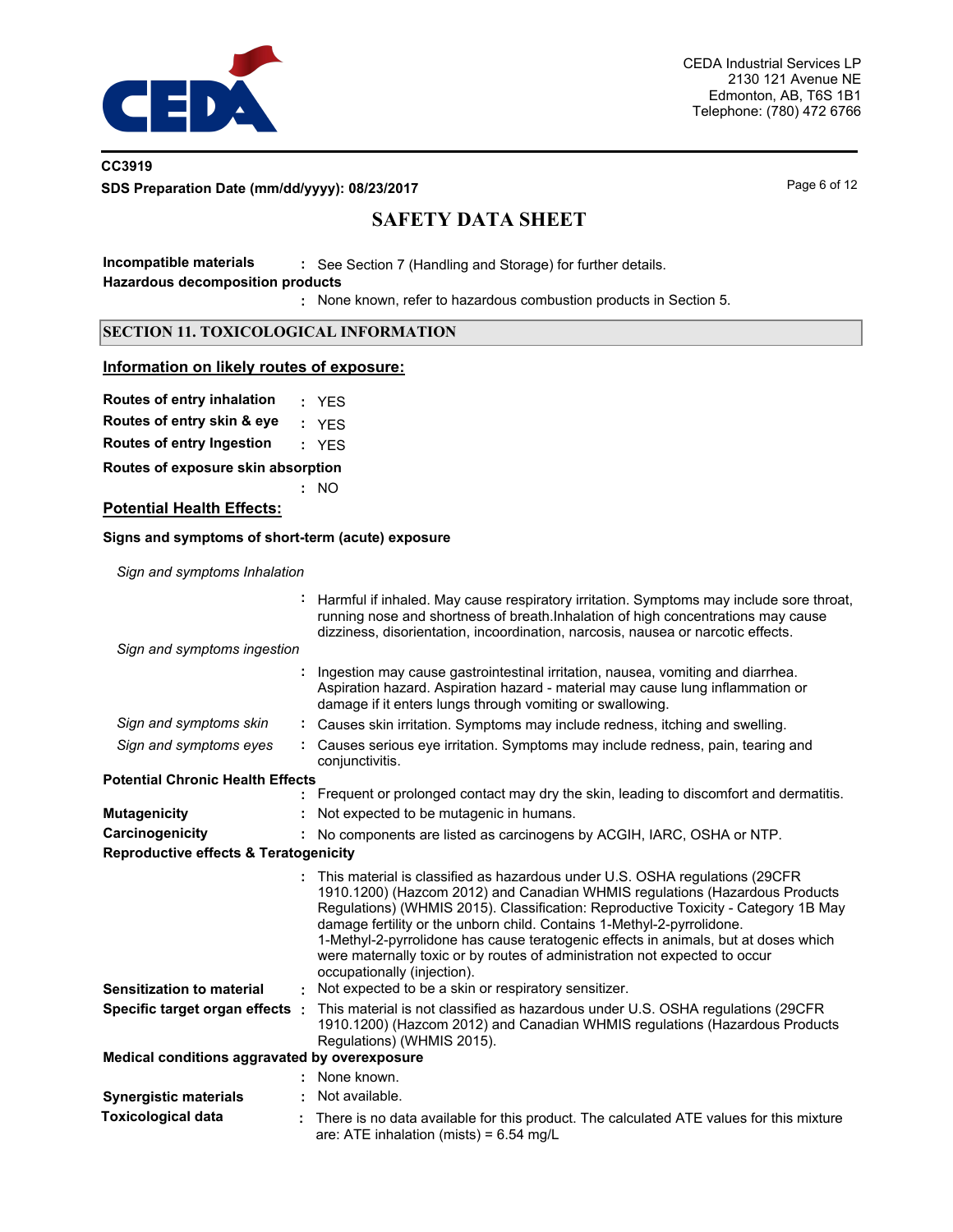

# **CC3919 SDS Preparation Date (mm/dd/yyyy): 08/23/2017** Page 6 of 12

# **SAFETY DATA SHEET**

**Incompatible materials :** See Section 7 (Handling and Storage) for further details. **Hazardous decomposition products**

None known, refer to hazardous combustion products in Section 5. **:**

## **SECTION 11. TOXICOLOGICAL INFORMATION**

## **Information on likely routes of exposure:**

**Routes of entry inhalation :** YES

**Routes of entry skin & eye :** YES

**Routes of entry Ingestion :** YES

**Routes of exposure skin absorption**

**:** NO

## **Potential Health Effects:**

#### **Signs and symptoms of short-term (acute) exposure**

*Sign and symptoms Inhalation*

|                                                  | Harmful if inhaled. May cause respiratory irritation. Symptoms may include sore throat,<br>running nose and shortness of breath. Inhalation of high concentrations may cause<br>dizziness, disorientation, incoordination, narcosis, nausea or narcotic effects.                                                                                                                                                                                                                                                               |
|--------------------------------------------------|--------------------------------------------------------------------------------------------------------------------------------------------------------------------------------------------------------------------------------------------------------------------------------------------------------------------------------------------------------------------------------------------------------------------------------------------------------------------------------------------------------------------------------|
| Sign and symptoms ingestion                      |                                                                                                                                                                                                                                                                                                                                                                                                                                                                                                                                |
|                                                  | Ingestion may cause gastrointestinal irritation, nausea, vomiting and diarrhea.<br>Aspiration hazard. Aspiration hazard - material may cause lung inflammation or<br>damage if it enters lungs through vomiting or swallowing.                                                                                                                                                                                                                                                                                                 |
| Sign and symptoms skin                           | Causes skin irritation. Symptoms may include redness, itching and swelling.                                                                                                                                                                                                                                                                                                                                                                                                                                                    |
| Sign and symptoms eyes                           | Causes serious eye irritation. Symptoms may include redness, pain, tearing and<br>conjunctivitis.                                                                                                                                                                                                                                                                                                                                                                                                                              |
| <b>Potential Chronic Health Effects</b>          |                                                                                                                                                                                                                                                                                                                                                                                                                                                                                                                                |
|                                                  | Frequent or prolonged contact may dry the skin, leading to discomfort and dermatitis.                                                                                                                                                                                                                                                                                                                                                                                                                                          |
| <b>Mutagenicity</b>                              | Not expected to be mutagenic in humans.                                                                                                                                                                                                                                                                                                                                                                                                                                                                                        |
| Carcinogenicity                                  | No components are listed as carcinogens by ACGIH, IARC, OSHA or NTP.                                                                                                                                                                                                                                                                                                                                                                                                                                                           |
| <b>Reproductive effects &amp; Teratogenicity</b> |                                                                                                                                                                                                                                                                                                                                                                                                                                                                                                                                |
|                                                  | This material is classified as hazardous under U.S. OSHA regulations (29CFR<br>1910.1200) (Hazcom 2012) and Canadian WHMIS regulations (Hazardous Products<br>Regulations) (WHMIS 2015). Classification: Reproductive Toxicity - Category 1B May<br>damage fertility or the unborn child. Contains 1-Methyl-2-pyrrolidone.<br>1-Methyl-2-pyrrolidone has cause teratogenic effects in animals, but at doses which<br>were maternally toxic or by routes of administration not expected to occur<br>occupationally (injection). |
| <b>Sensitization to material</b>                 | Not expected to be a skin or respiratory sensitizer.                                                                                                                                                                                                                                                                                                                                                                                                                                                                           |
| Specific target organ effects:                   | This material is not classified as hazardous under U.S. OSHA regulations (29CFR<br>1910.1200) (Hazcom 2012) and Canadian WHMIS regulations (Hazardous Products<br>Regulations) (WHMIS 2015).                                                                                                                                                                                                                                                                                                                                   |
| Medical conditions aggravated by overexposure    |                                                                                                                                                                                                                                                                                                                                                                                                                                                                                                                                |
|                                                  | None known.                                                                                                                                                                                                                                                                                                                                                                                                                                                                                                                    |
| <b>Synergistic materials</b>                     | Not available.                                                                                                                                                                                                                                                                                                                                                                                                                                                                                                                 |
| <b>Toxicological data</b>                        | There is no data available for this product. The calculated ATE values for this mixture<br>are: ATE inhalation (mists) = $6.54$ mg/L                                                                                                                                                                                                                                                                                                                                                                                           |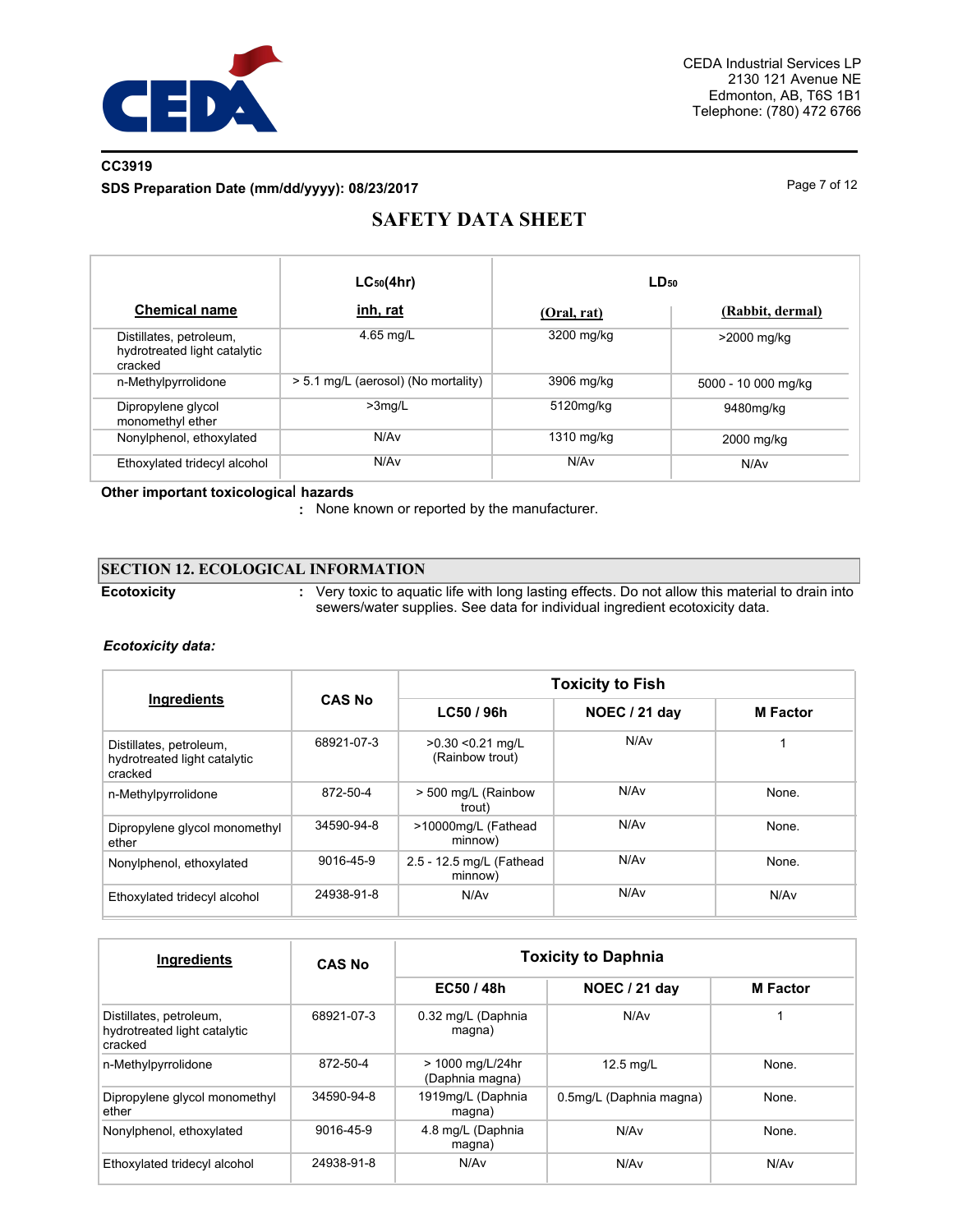

# **CC3919**

**SDS Preparation Date (mm/dd/yyyy): 08/23/2017** Page 7 of 12

# **SAFETY DATA SHEET**

|                                                                    | $LC_{50}(4hr)$                      | LD <sub>50</sub> |                     |
|--------------------------------------------------------------------|-------------------------------------|------------------|---------------------|
| <b>Chemical name</b>                                               | inh, rat                            | (Oral, rat)      | (Rabbit, dermal)    |
| Distillates, petroleum,<br>hydrotreated light catalytic<br>cracked | 4.65 mg/L                           | 3200 mg/kg       | >2000 mg/kg         |
| n-Methylpyrrolidone                                                | > 5.1 mg/L (aerosol) (No mortality) | 3906 mg/kg       | 5000 - 10 000 mg/kg |
| Dipropylene glycol<br>monomethyl ether                             | $>3$ ma/L                           | 5120mg/kg        | 9480mg/kg           |
| Nonylphenol, ethoxylated                                           | N/A <sub>v</sub>                    | 1310 mg/kg       | 2000 mg/kg          |
| Ethoxylated tridecyl alcohol                                       | N/A <sub>v</sub>                    | N/Av             | N/Av                |

#### **Other important toxicologica**l **hazards**

**:** None known or reported by the manufacturer.

## **SECTION 12. ECOLOGICAL INFORMATION**

**Ecotoxicity :**

Very toxic to aquatic life with long lasting effects. Do not allow this material to drain into sewers/water supplies. See data for individual ingredient ecotoxicity data.

## *Ecotoxicity data:*

| Ingredients                                                        | <b>CAS No</b> | <b>Toxicity to Fish</b>                |                  |                 |  |
|--------------------------------------------------------------------|---------------|----------------------------------------|------------------|-----------------|--|
|                                                                    |               | LC50 / 96h                             | NOEC / 21 day    | <b>M</b> Factor |  |
| Distillates, petroleum,<br>hydrotreated light catalytic<br>cracked | 68921-07-3    | $>0.30$ < 0.21 mg/L<br>(Rainbow trout) | N/Av             |                 |  |
| n-Methylpyrrolidone                                                | 872-50-4      | > 500 mg/L (Rainbow<br>trout)          | N/A <sub>v</sub> | None.           |  |
| Dipropylene glycol monomethyl<br>ether                             | 34590-94-8    | >10000mg/L (Fathead<br>minnow)         | N/A <sub>v</sub> | None.           |  |
| Nonylphenol, ethoxylated                                           | 9016-45-9     | 2.5 - 12.5 mg/L (Fathead<br>minnow)    | N/Av             | None.           |  |
| Ethoxylated tridecyl alcohol                                       | 24938-91-8    | N/Av                                   | N/A <sub>v</sub> | N/Av            |  |

| Ingredients                                                        | <b>CAS No</b> | <b>Toxicity to Daphnia</b>          |                         |                 |  |
|--------------------------------------------------------------------|---------------|-------------------------------------|-------------------------|-----------------|--|
|                                                                    |               | EC50 / 48h                          | NOEC / 21 day           | <b>M</b> Factor |  |
| Distillates, petroleum,<br>hydrotreated light catalytic<br>cracked | 68921-07-3    | 0.32 mg/L (Daphnia<br>magna)        | N/Av                    |                 |  |
| n-Methylpyrrolidone                                                | 872-50-4      | > 1000 mg/L/24hr<br>(Daphnia magna) | $12.5$ mg/L             | None.           |  |
| Dipropylene glycol monomethyl<br>ether                             | 34590-94-8    | 1919mg/L (Daphnia<br>magna)         | 0.5mg/L (Daphnia magna) | None.           |  |
| Nonylphenol, ethoxylated                                           | 9016-45-9     | 4.8 mg/L (Daphnia<br>magna)         | N/Av                    | None.           |  |
| Ethoxylated tridecyl alcohol                                       | 24938-91-8    | N/Av                                | N/Av                    | N/Av            |  |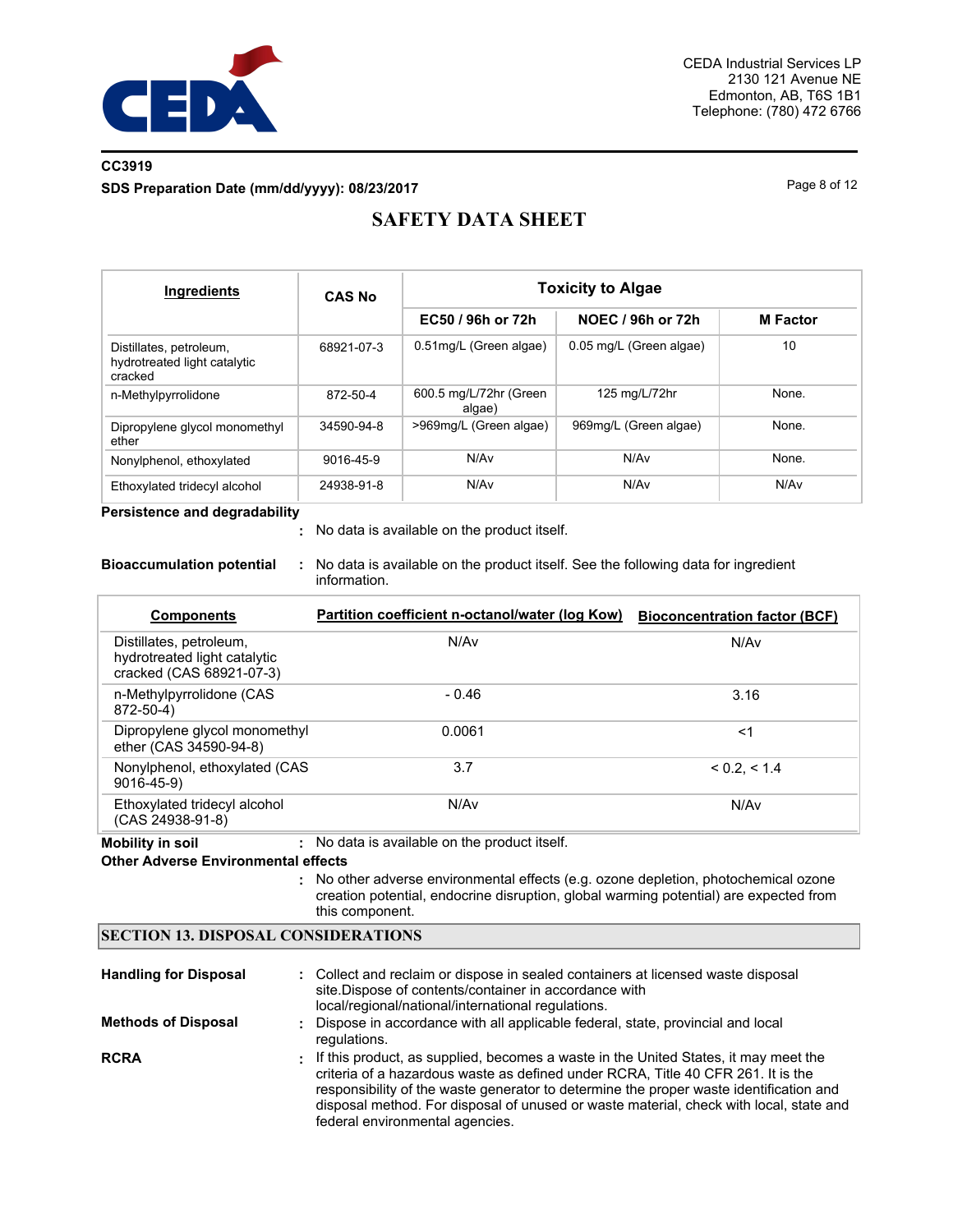

# **CC3919 SDS Preparation Date (mm/dd/yyyy): 08/23/2017** Page 8 of 12

# **SAFETY DATA SHEET**

| <b>Ingredients</b>                                                 | <b>CAS No</b> | <b>Toxicity to Algae</b>         |                         |                 |  |  |
|--------------------------------------------------------------------|---------------|----------------------------------|-------------------------|-----------------|--|--|
|                                                                    |               | EC50 / 96h or 72h                | NOEC / 96h or 72h       | <b>M</b> Factor |  |  |
| Distillates, petroleum,<br>hydrotreated light catalytic<br>cracked | 68921-07-3    | 0.51mg/L (Green algae)           | 0.05 mg/L (Green algae) | 10              |  |  |
| n-Methylpyrrolidone                                                | 872-50-4      | 600.5 mg/L/72hr (Green<br>algae) | 125 mg/L/72hr           | None.           |  |  |
| Dipropylene glycol monomethyl<br>ether                             | 34590-94-8    | >969mg/L (Green algae)           | 969mg/L (Green algae)   | None.           |  |  |
| Nonylphenol, ethoxylated                                           | 9016-45-9     | N/Av                             | N/Av                    | None.           |  |  |
| Ethoxylated tridecyl alcohol                                       | 24938-91-8    | N/Av                             | N/Av                    | N/Av            |  |  |

**Persistence and degradability**

No data is available on the product itself. **:**

**Bioaccumulation potential :** No data is available on the product itself. See the following data for ingredient information.

| <b>Components</b>                                                                   | Partition coefficient n-octanol/water (log Kow) | <b>Bioconcentration factor (BCF)</b> |
|-------------------------------------------------------------------------------------|-------------------------------------------------|--------------------------------------|
| Distillates, petroleum,<br>hydrotreated light catalytic<br>cracked (CAS 68921-07-3) | N/Av                                            | N/Av                                 |
| n-Methylpyrrolidone (CAS<br>872-50-4)                                               | $-0.46$                                         | 3.16                                 |
| Dipropylene glycol monomethyl<br>ether (CAS 34590-94-8)                             | 0.0061                                          | $<$ 1                                |
| Nonylphenol, ethoxylated (CAS)<br>$9016 - 45 - 9$                                   | 3.7                                             | < 0.2. < 1.4                         |
| Ethoxylated tridecyl alcohol<br>(CAS 24938-91-8)                                    | N/Av                                            | N/Av                                 |

**Mobility in soil :** No data is available on the product itself.

#### **Other Adverse Environmental effects**

No other adverse environmental effects (e.g. ozone depletion, photochemical ozone **:** creation potential, endocrine disruption, global warming potential) are expected from this component.

## **SECTION 13. DISPOSAL CONSIDERATIONS**

| <b>Handling for Disposal</b> | : Collect and reclaim or dispose in sealed containers at licensed waste disposal<br>site.Dispose of contents/container in accordance with<br>local/regional/national/international regulations.                                                                                                                                                                                                  |
|------------------------------|--------------------------------------------------------------------------------------------------------------------------------------------------------------------------------------------------------------------------------------------------------------------------------------------------------------------------------------------------------------------------------------------------|
| <b>Methods of Disposal</b>   | : Dispose in accordance with all applicable federal, state, provincial and local<br>regulations.                                                                                                                                                                                                                                                                                                 |
| <b>RCRA</b>                  | : If this product, as supplied, becomes a waste in the United States, it may meet the<br>criteria of a hazardous waste as defined under RCRA, Title 40 CFR 261. It is the<br>responsibility of the waste generator to determine the proper waste identification and<br>disposal method. For disposal of unused or waste material, check with local, state and<br>federal environmental agencies. |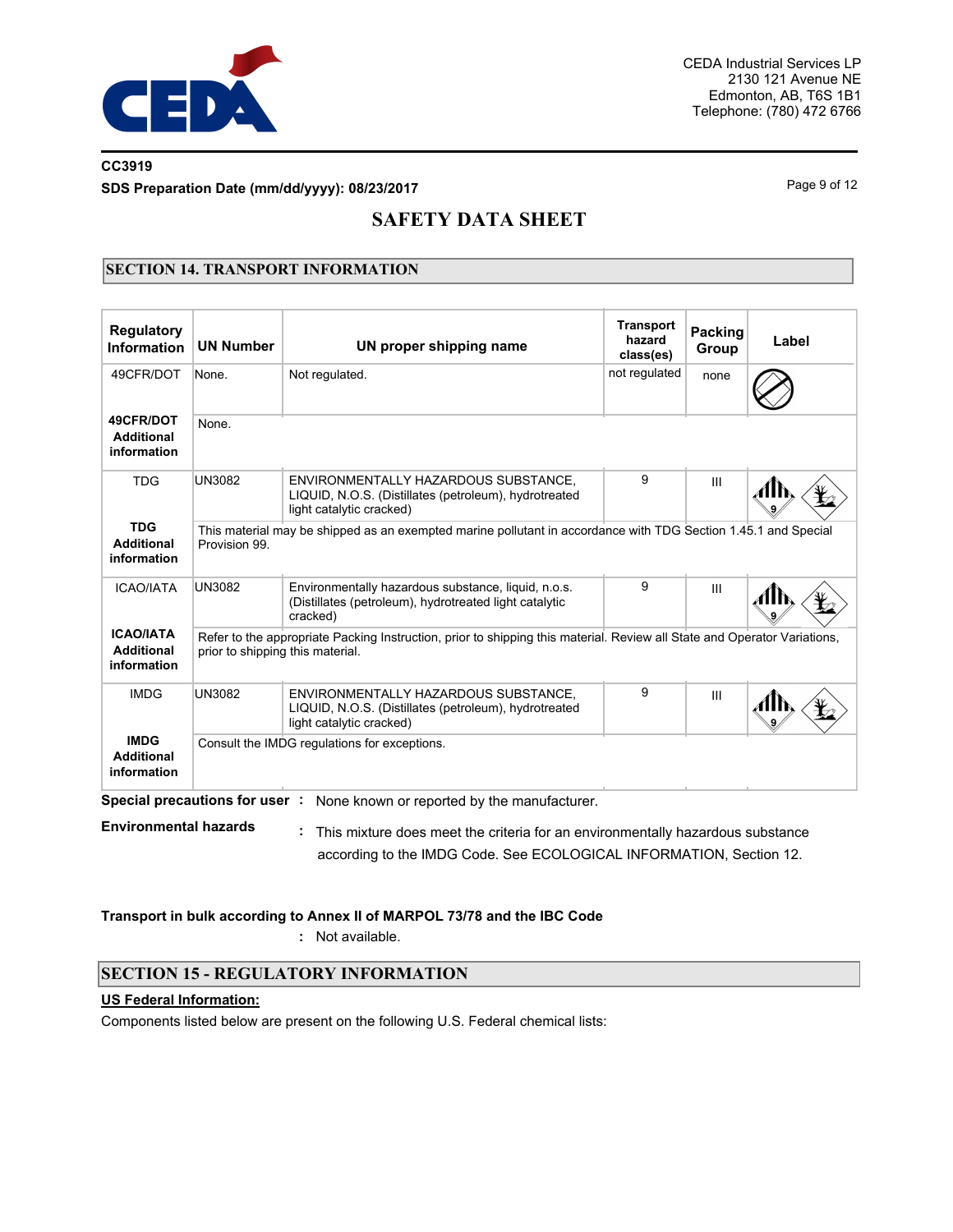

# **CC3919 SDS Preparation Date (mm/dd/yyyy): 08/23/2017** Page 9 of 12

# **SAFETY DATA SHEET**

# **SECTION 14. TRANSPORT INFORMATION**

| <b>Regulatory</b><br>Information                                                                | <b>UN Number</b>                                                                                                                | UN proper shipping name                                                                                                   | <b>Transport</b><br>hazard<br>class(es) | Packing<br>Group | Label |  |  |
|-------------------------------------------------------------------------------------------------|---------------------------------------------------------------------------------------------------------------------------------|---------------------------------------------------------------------------------------------------------------------------|-----------------------------------------|------------------|-------|--|--|
| 49CFR/DOT                                                                                       | None.                                                                                                                           | Not regulated.                                                                                                            | not regulated                           | none             |       |  |  |
| 49CFR/DOT<br><b>Additional</b><br>information                                                   | None.                                                                                                                           |                                                                                                                           |                                         |                  |       |  |  |
| <b>TDG</b>                                                                                      | <b>UN3082</b>                                                                                                                   | ENVIRONMENTALLY HAZARDOUS SUBSTANCE,<br>LIQUID, N.O.S. (Distillates (petroleum), hydrotreated<br>light catalytic cracked) | 9                                       | III              |       |  |  |
| <b>TDG</b><br><b>Additional</b><br>information                                                  | This material may be shipped as an exempted marine pollutant in accordance with TDG Section 1.45.1 and Special<br>Provision 99. |                                                                                                                           |                                         |                  |       |  |  |
| <b>ICAO/IATA</b>                                                                                | <b>UN3082</b>                                                                                                                   | Environmentally hazardous substance, liquid, n.o.s.<br>(Distillates (petroleum), hydrotreated light catalytic<br>cracked) | 9                                       | Ш                |       |  |  |
| <b>ICAO/IATA</b><br><b>Additional</b><br>information                                            | prior to shipping this material.                                                                                                | Refer to the appropriate Packing Instruction, prior to shipping this material. Review all State and Operator Variations,  |                                         |                  |       |  |  |
| <b>IMDG</b>                                                                                     | <b>UN3082</b>                                                                                                                   | ENVIRONMENTALLY HAZARDOUS SUBSTANCE.<br>LIQUID, N.O.S. (Distillates (petroleum), hydrotreated<br>light catalytic cracked) |                                         | Ш                |       |  |  |
| <b>IMDG</b><br>Consult the IMDG regulations for exceptions.<br><b>Additional</b><br>information |                                                                                                                                 |                                                                                                                           |                                         |                  |       |  |  |
|                                                                                                 | Special precautions for user:                                                                                                   | None known or reported by the manufacturer.                                                                               |                                         |                  |       |  |  |
| <b>Environmental hazards</b>                                                                    |                                                                                                                                 | This mixture does meet the criteria for an environmentally hazardous substance                                            |                                         |                  |       |  |  |

according to the IMDG Code. See ECOLOGICAL INFORMATION, Section 12.

**Transport in bulk according to Annex II of MARPOL 73/78 and the IBC Code**

**:** Not available.

# **SECTION 15 - REGULATORY INFORMATION**

## **US Federal Information:**

Components listed below are present on the following U.S. Federal chemical lists: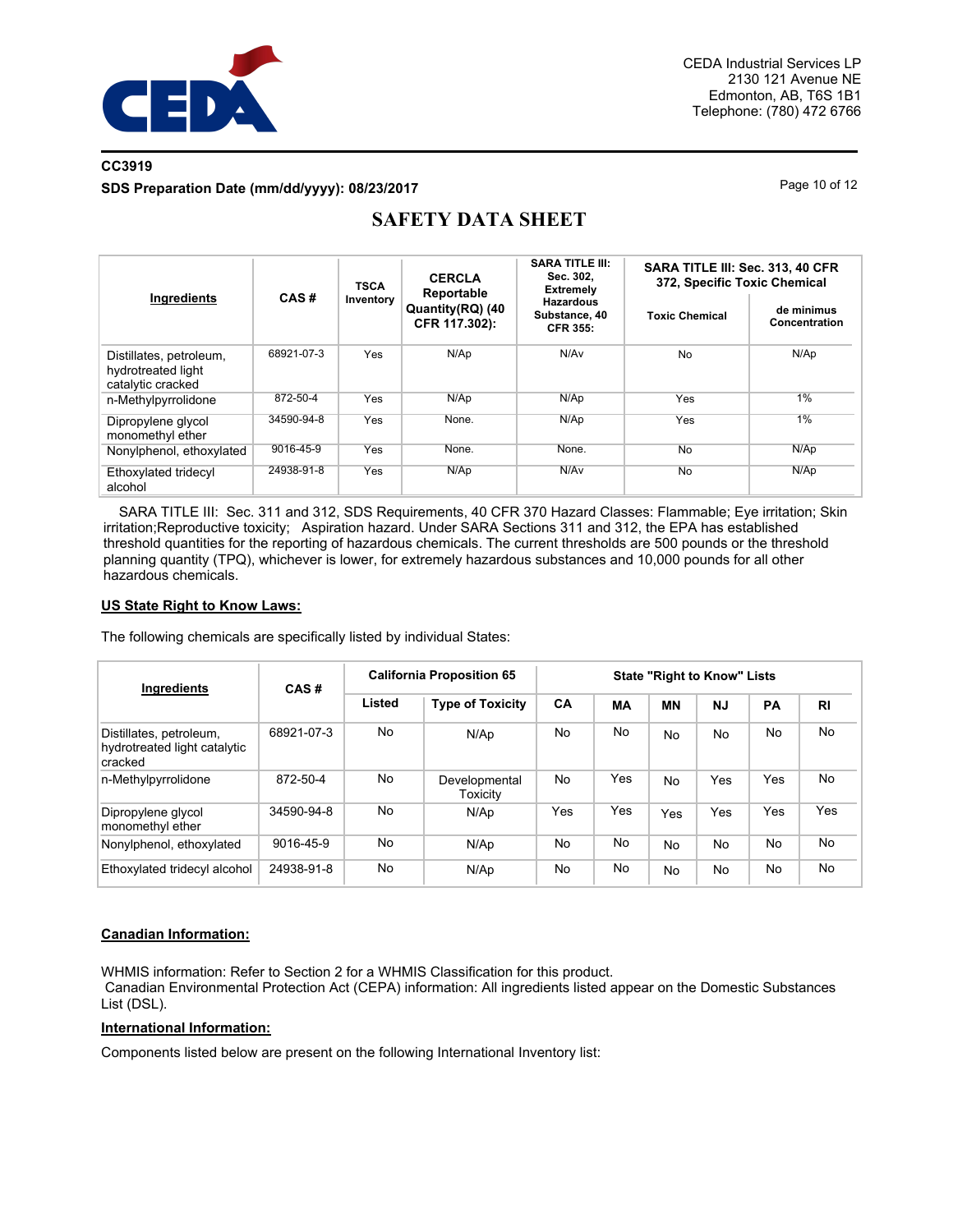

# **CC3919 SDS Preparation Date (mm/dd/yyyy): 08/23/2017** Page 10 of 12

| Ingredients                                                        | CAS#       | <b>TSCA</b><br>Inventory | <b>CERCLA</b><br>Reportable<br>Quantity(RQ) (40<br>CFR 117.302): | <b>SARA TITLE III:</b><br>Sec. 302.<br><b>Extremely</b> | SARA TITLE III: Sec. 313, 40 CFR<br>372, Specific Toxic Chemical |                             |  |
|--------------------------------------------------------------------|------------|--------------------------|------------------------------------------------------------------|---------------------------------------------------------|------------------------------------------------------------------|-----------------------------|--|
|                                                                    |            |                          |                                                                  | <b>Hazardous</b><br>Substance, 40<br><b>CFR 355:</b>    | <b>Toxic Chemical</b>                                            | de minimus<br>Concentration |  |
| Distillates, petroleum,<br>hydrotreated light<br>catalytic cracked | 68921-07-3 | <b>Yes</b>               | N/Ap                                                             | N/A <sub>v</sub>                                        | <b>No</b>                                                        | N/Ap                        |  |
| n-Methylpyrrolidone                                                | 872-50-4   | Yes                      | N/Ap                                                             | N/Ap                                                    | Yes                                                              | 1%                          |  |
| Dipropylene glycol<br>monomethyl ether                             | 34590-94-8 | Yes                      | None.                                                            | N/AD                                                    | Yes                                                              | 1%                          |  |
| Nonylphenol, ethoxylated                                           | 9016-45-9  | Yes                      | None.                                                            | None.                                                   | <b>No</b>                                                        | N/Ap                        |  |
| Ethoxylated tridecyl<br>alcohol                                    | 24938-91-8 | <b>Yes</b>               | N/Ap                                                             | N/Av                                                    | No                                                               | N/Ap                        |  |

# **SAFETY DATA SHEET**

 SARA TITLE III: Sec. 311 and 312, SDS Requirements, 40 CFR 370 Hazard Classes: Flammable; Eye irritation; Skin irritation;Reproductive toxicity; Aspiration hazard. Under SARA Sections 311 and 312, the EPA has established threshold quantities for the reporting of hazardous chemicals. The current thresholds are 500 pounds or the threshold planning quantity (TPQ), whichever is lower, for extremely hazardous substances and 10,000 pounds for all other hazardous chemicals.

#### **US State Right to Know Laws:**

The following chemicals are specifically listed by individual States:

| <b>Ingredients</b>                                                 | CAS#       | <b>California Proposition 65</b> |                           | <b>State "Right to Know" Lists</b> |     |           |           |     |                |
|--------------------------------------------------------------------|------------|----------------------------------|---------------------------|------------------------------------|-----|-----------|-----------|-----|----------------|
|                                                                    |            | Listed                           | <b>Type of Toxicity</b>   | CA                                 | МA  | <b>MN</b> | <b>NJ</b> | PA  | R <sub>1</sub> |
| Distillates, petroleum,<br>hydrotreated light catalytic<br>cracked | 68921-07-3 | No                               | N/Ap                      | No.                                | No  | No.       | No.       | No  | <b>No</b>      |
| n-Methylpyrrolidone                                                | 872-50-4   | No                               | Developmental<br>Toxicity | No                                 | Yes | No.       | Yes       | Yes | No             |
| Dipropylene glycol<br>monomethyl ether                             | 34590-94-8 | No                               | N/Ap                      | Yes                                | Yes | Yes       | Yes       | Yes | Yes            |
| Nonylphenol, ethoxylated                                           | 9016-45-9  | No                               | N/Ap                      | No                                 | No  | No.       | <b>No</b> | No  | No             |
| Ethoxylated tridecyl alcohol                                       | 24938-91-8 | No                               | N/Ap                      | No                                 | No  | No.       | <b>No</b> | No  | No             |

## **Canadian Information:**

WHMIS information: Refer to Section 2 for a WHMIS Classification for this product. Canadian Environmental Protection Act (CEPA) information: All ingredients listed appear on the Domestic Substances List (DSL).

## **International Information:**

Components listed below are present on the following International Inventory list: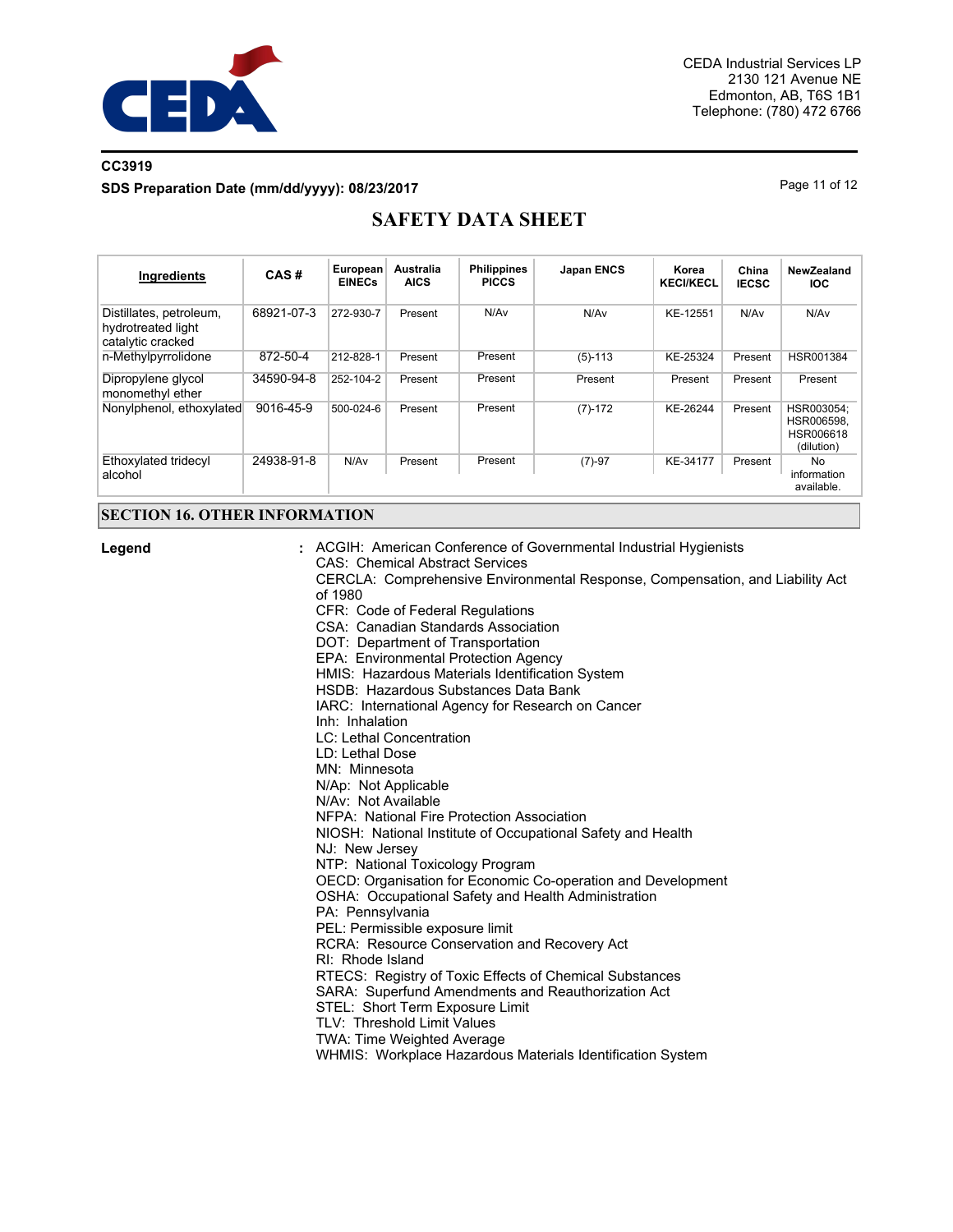

# **CC3919 SDS Preparation Date (mm/dd/yyyy): 08/23/2017** Page 11 of 12

# **SAFETY DATA SHEET**

| <b>Ingredients</b>                                                 | CAS#       | European<br><b>EINECs</b> | Australia<br><b>AICS</b> | <b>Philippines</b><br><b>PICCS</b> | <b>Japan ENCS</b> | Korea<br><b>KECI/KECL</b> | China<br><b>IECSC</b> | NewZealand<br><b>IOC</b>                            |
|--------------------------------------------------------------------|------------|---------------------------|--------------------------|------------------------------------|-------------------|---------------------------|-----------------------|-----------------------------------------------------|
| Distillates, petroleum,<br>hydrotreated light<br>catalytic cracked | 68921-07-3 | 272-930-7                 | Present                  | N/Av                               | N/Av              | KE-12551                  | N/A <sub>v</sub>      | N/Av                                                |
| n-Methylpyrrolidone                                                | 872-50-4   | 212-828-1                 | Present                  | Present                            | $(5)-113$         | KE-25324                  | Present               | HSR001384                                           |
| Dipropylene glycol<br>monomethyl ether                             | 34590-94-8 | 252-104-2                 | Present                  | Present                            | Present           | Present                   | Present               | Present                                             |
| Nonviphenol, ethoxylated                                           | 9016-45-9  | 500-024-6                 | Present                  | Present                            | $(7)-172$         | KE-26244                  | Present               | HSR003054:<br>HSR006598.<br>HSR006618<br>(dilution) |
| Ethoxylated tridecyl<br>alcohol                                    | 24938-91-8 | N/Av                      | Present                  | Present                            | $(7)-97$          | KE-34177                  | Present               | No.<br>information<br>available.                    |

## **SECTION 16. OTHER INFORMATION**

**Legend :**

ACGIH: American Conference of Governmental Industrial Hygienists CAS: Chemical Abstract Services CERCLA: Comprehensive Environmental Response, Compensation, and Liability Act of 1980 CFR: Code of Federal Regulations CSA: Canadian Standards Association DOT: Department of Transportation EPA: Environmental Protection Agency HMIS: Hazardous Materials Identification System HSDB: Hazardous Substances Data Bank IARC: International Agency for Research on Cancer Inh: Inhalation LC: Lethal Concentration LD: Lethal Dose MN: Minnesota N/Ap: Not Applicable N/Av: Not Available NFPA: National Fire Protection Association NIOSH: National Institute of Occupational Safety and Health NJ: New Jersey NTP: National Toxicology Program OECD: Organisation for Economic Co-operation and Development OSHA: Occupational Safety and Health Administration PA: Pennsylvania PEL: Permissible exposure limit RCRA: Resource Conservation and Recovery Act

- RI: Rhode Island
- RTECS: Registry of Toxic Effects of Chemical Substances
- SARA: Superfund Amendments and Reauthorization Act
- STEL: Short Term Exposure Limit
- TLV: Threshold Limit Values
- TWA: Time Weighted Average
- WHMIS: Workplace Hazardous Materials Identification System